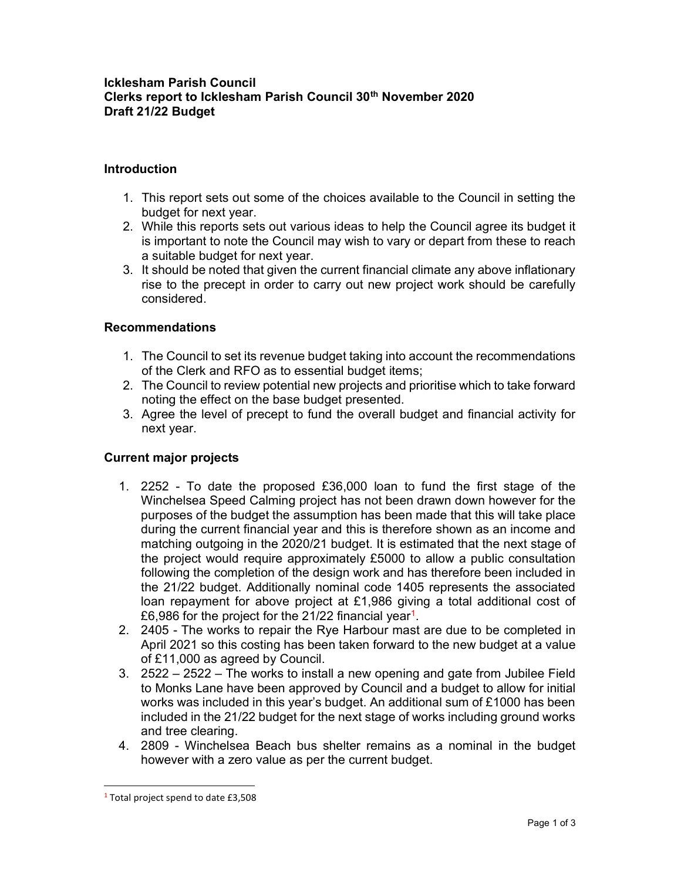## Icklesham Parish Council Clerks report to Icklesham Parish Council 30<sup>th</sup> November 2020 Draft 21/22 Budget

## Introduction

- 1. This report sets out some of the choices available to the Council in setting the budget for next year.
- 2. While this reports sets out various ideas to help the Council agree its budget it is important to note the Council may wish to vary or depart from these to reach a suitable budget for next year.
- 3. It should be noted that given the current financial climate any above inflationary rise to the precept in order to carry out new project work should be carefully considered.

## Recommendations

- 1. The Council to set its revenue budget taking into account the recommendations of the Clerk and RFO as to essential budget items;
- 2. The Council to review potential new projects and prioritise which to take forward noting the effect on the base budget presented.
- 3. Agree the level of precept to fund the overall budget and financial activity for next year.

## Current major projects

- 1. 2252 To date the proposed £36,000 loan to fund the first stage of the Winchelsea Speed Calming project has not been drawn down however for the purposes of the budget the assumption has been made that this will take place during the current financial year and this is therefore shown as an income and matching outgoing in the 2020/21 budget. It is estimated that the next stage of the project would require approximately £5000 to allow a public consultation following the completion of the design work and has therefore been included in the 21/22 budget. Additionally nominal code 1405 represents the associated loan repayment for above project at £1,986 giving a total additional cost of £6,986 for the project for the 21/22 financial year<sup>1</sup>.
- 2. 2405 The works to repair the Rye Harbour mast are due to be completed in April 2021 so this costing has been taken forward to the new budget at a value of £11,000 as agreed by Council.
- 3. 2522 2522 The works to install a new opening and gate from Jubilee Field to Monks Lane have been approved by Council and a budget to allow for initial works was included in this year's budget. An additional sum of £1000 has been included in the 21/22 budget for the next stage of works including ground works and tree clearing.
- 4. 2809 Winchelsea Beach bus shelter remains as a nominal in the budget however with a zero value as per the current budget.

<sup>&</sup>lt;sup>1</sup> Total project spend to date £3,508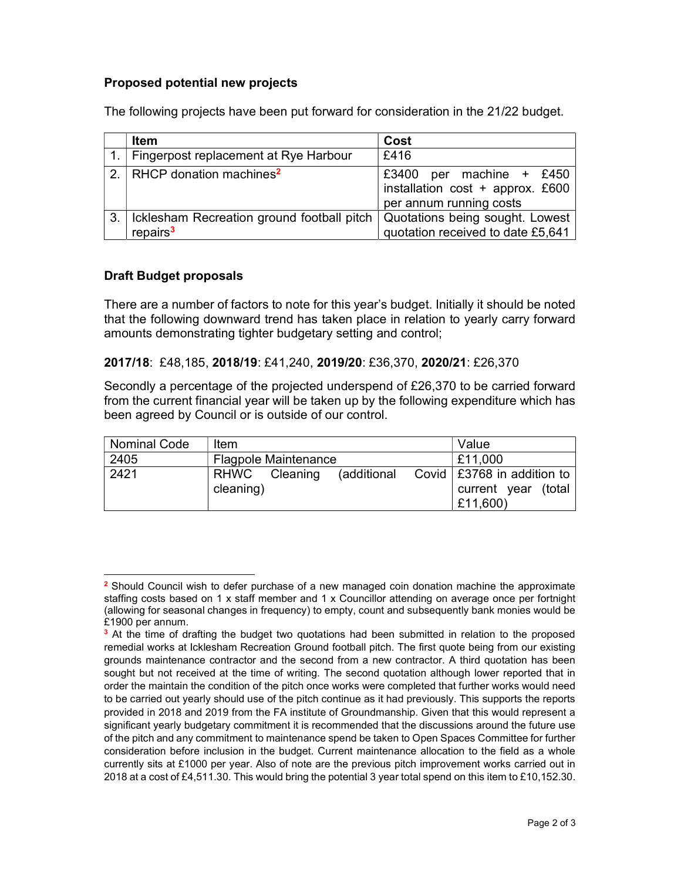## Proposed potential new projects

| <b>Item</b>                                                        | Cost                                                                                       |
|--------------------------------------------------------------------|--------------------------------------------------------------------------------------------|
| Fingerpost replacement at Rye Harbour                              | £416                                                                                       |
| 2. RHCP donation machines <sup>2</sup>                             | £3400<br>per machine + £450<br>installation cost + approx. £600<br>per annum running costs |
| Icklesham Recreation ground football pitch<br>repairs <sup>3</sup> | Quotations being sought. Lowest<br>quotation received to date £5,641                       |

The following projects have been put forward for consideration in the 21/22 budget.

# Draft Budget proposals

There are a number of factors to note for this year's budget. Initially it should be noted that the following downward trend has taken place in relation to yearly carry forward amounts demonstrating tighter budgetary setting and control;

#### 2017/18: £48,185, 2018/19: £41,240, 2019/20: £36,370, 2020/21: £26,370

Secondly a percentage of the projected underspend of £26,370 to be carried forward from the current financial year will be taken up by the following expenditure which has been agreed by Council or is outside of our control.

| Nominal Code | Item                        |  |  |  | Value                                                                             |
|--------------|-----------------------------|--|--|--|-----------------------------------------------------------------------------------|
| 2405         | <b>Flagpole Maintenance</b> |  |  |  | £11,000                                                                           |
| 2421         | RHWC Cleaning<br>cleaning)  |  |  |  | (additional Covid $\vert$ £3768 in addition to<br>current year (total<br>£11,600) |

<sup>&</sup>lt;sup>2</sup> Should Council wish to defer purchase of a new managed coin donation machine the approximate staffing costs based on 1 x staff member and 1 x Councillor attending on average once per fortnight (allowing for seasonal changes in frequency) to empty, count and subsequently bank monies would be £1900 per annum.

<sup>&</sup>lt;sup>3</sup> At the time of drafting the budget two quotations had been submitted in relation to the proposed remedial works at Icklesham Recreation Ground football pitch. The first quote being from our existing grounds maintenance contractor and the second from a new contractor. A third quotation has been sought but not received at the time of writing. The second quotation although lower reported that in order the maintain the condition of the pitch once works were completed that further works would need to be carried out yearly should use of the pitch continue as it had previously. This supports the reports provided in 2018 and 2019 from the FA institute of Groundmanship. Given that this would represent a significant yearly budgetary commitment it is recommended that the discussions around the future use of the pitch and any commitment to maintenance spend be taken to Open Spaces Committee for further consideration before inclusion in the budget. Current maintenance allocation to the field as a whole currently sits at £1000 per year. Also of note are the previous pitch improvement works carried out in 2018 at a cost of £4,511.30. This would bring the potential 3 year total spend on this item to £10,152.30.